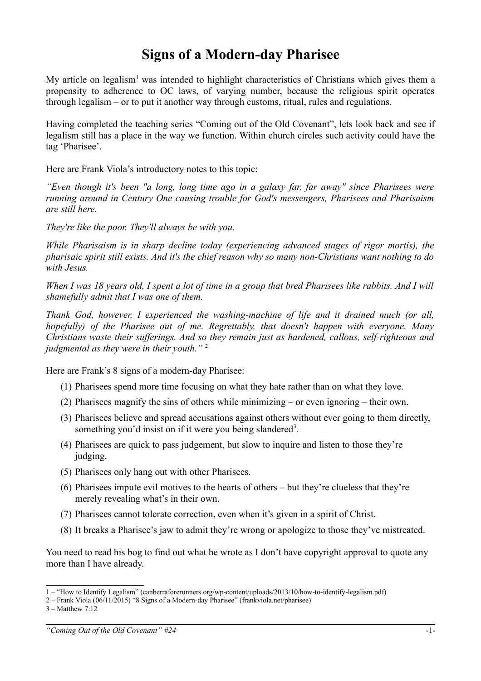## **Signs of a Modern-day Pharisee**

My article on legalism<sup>[1](#page-0-0)</sup> was intended to highlight characteristics of Christians which gives them a propensity to adherence to OC laws, of varying number, because the religious spirit operates through legalism – or to put it another way through customs, ritual, rules and regulations.

Having completed the teaching series "Coming out of the Old Covenant", lets look back and see if legalism still has a place in the way we function. Within church circles such activity could have the tag 'Pharisee'.

Here are Frank Viola's introductory notes to this topic:

*"Even though it's been "a long, long time ago in a galaxy far, far away" since Pharisees were running around in Century One causing trouble for God's messengers, Pharisees and Pharisaism are still here.*

*They're like the poor. They'll always be with you.*

*While Pharisaism is in sharp decline today (experiencing advanced stages of rigor mortis), the pharisaic spirit still exists. And it's the chief reason why so many non-Christians want nothing to do with Jesus.*

*When I was 18 years old, I spent a lot of time in a group that bred Pharisees like rabbits. And I will shamefully admit that I was one of them.*

*Thank God, however, I experienced the washing-machine of life and it drained much (or all, hopefully) of the Pharisee out of me. Regrettably, that doesn't happen with everyone. Many Christians waste their sufferings. And so they remain just as hardened, callous, self-righteous and judgmental as they were in their youth."* [2](#page-0-1)

Here are Frank's 8 signs of a modern-day Pharisee:

- (1) Pharisees spend more time focusing on what they hate rather than on what they love.
- (2) Pharisees magnify the sins of others while minimizing or even ignoring their own.
- (3) Pharisees believe and spread accusations against others without ever going to them directly, something you'd insist on if it were you being slandered<sup>[3](#page-0-2)</sup>.
- (4) Pharisees are quick to pass judgement, but slow to inquire and listen to those they're judging.
- (5) Pharisees only hang out with other Pharisees.
- (6) Pharisees impute evil motives to the hearts of others but they're clueless that they're merely revealing what's in their own.
- (7) Pharisees cannot tolerate correction, even when it's given in a spirit of Christ.
- (8) It breaks a Pharisee's jaw to admit they're wrong or apologize to those they've mistreated.

You need to read his bog to find out what he wrote as I don't have copyright approval to quote any more than I have already.

<span id="page-0-0"></span><sup>1 – &</sup>quot;How to Identify Legalism" (canberraforerunners.org/wp-content/uploads/2013/10/how-to-identify-legalism.pdf)

<span id="page-0-1"></span><sup>2 –</sup> Frank Viola (06/11/2015) "8 Signs of a Modern-day Pharisee" (frankviola.net/pharisee)

<span id="page-0-2"></span><sup>3 –</sup> Matthew 7:12

*<sup>&</sup>quot;Coming Out of the Old Covenant" #24* -1-